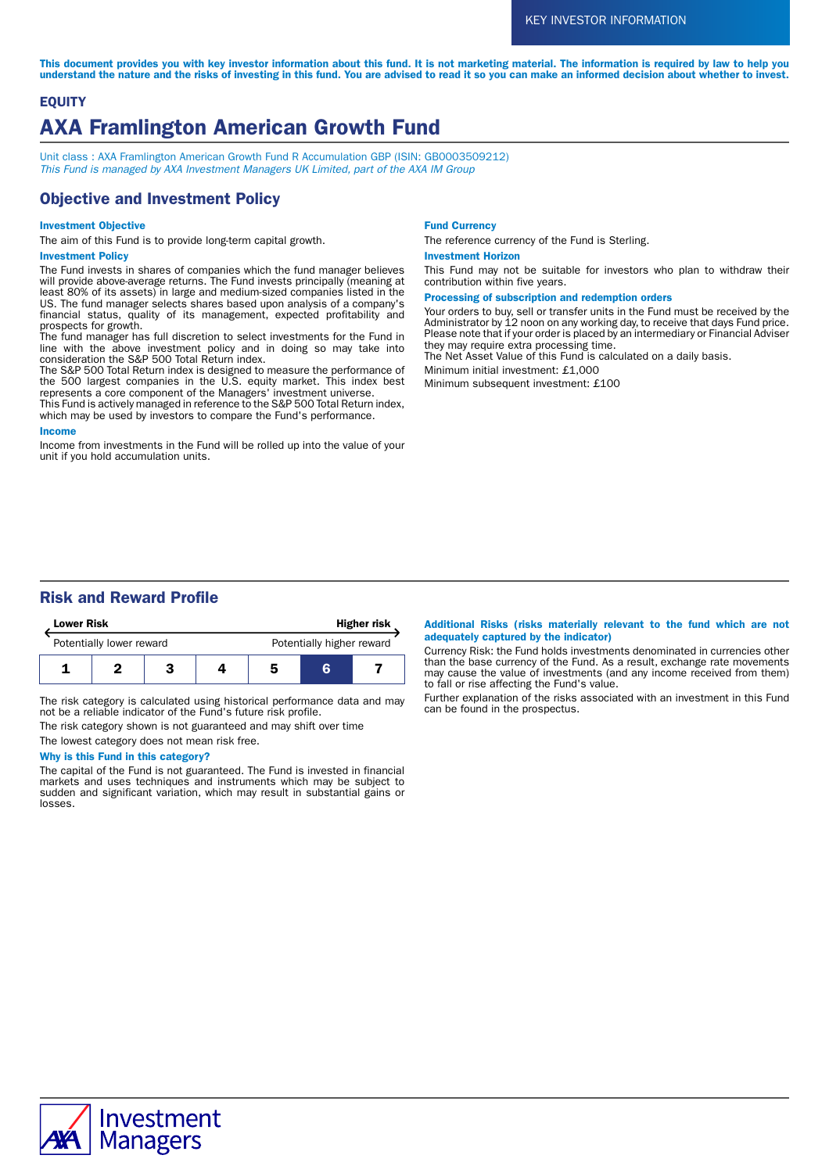This document provides you with key investor information about this fund. It is not marketing material. The information is required by law to help you understand the nature and the risks of investing in this fund. You are advised to read it so you can make an informed decision about whether to invest.

# **EQUITY** AXA Framlington American Growth Fund

Unit class : AXA Framlington American Growth Fund R Accumulation GBP (ISIN: GB0003509212) This Fund is managed by AXA Investment Managers UK Limited, part of the AXA IM Group

# Objective and Investment Policy

### Investment Objective

The aim of this Fund is to provide long-term capital growth.

#### Investment Policy

The Fund invests in shares of companies which the fund manager believes will provide above-average returns. The Fund invests principally (meaning at least 80% of its assets) in large and medium-sized companies listed in the US. The fund manager selects shares based upon analysis of a company's financial status, quality of its management, expected profitability and prospects for growth.

The fund manager has full discretion to select investments for the Fund in line with the above investment policy and in doing so may take into consideration the S&P 500 Total Return index.

The S&P 500 Total Return index is designed to measure the performance of the 500 largest companies in the U.S. equity market. This index best represents a core component of the Managers' investment universe.

This Fund is actively managed in reference to the S&P 500 Total Return index, which may be used by investors to compare the Fund's performance.

#### Income

Income from investments in the Fund will be rolled up into the value of your unit if you hold accumulation units.

#### Fund Currency

The reference currency of the Fund is Sterling.

#### Investment Horizon

This Fund may not be suitable for investors who plan to withdraw their contribution within five years.

#### Processing of subscription and redemption orders

Your orders to buy, sell or transfer units in the Fund must be received by the Administrator by 12 noon on any working day, to receive that days Fund price. Please note that if your order is placed by an intermediary or Financial Adviser they may require extra processing time.

The Net Asset Value of this Fund is calculated on a daily basis.

Minimum initial investment: £1,000

Minimum subsequent investment: £100

# Risk and Reward Profile

| <b>Lower Risk</b>        |  |  |  | <b>Higher risk</b>        |   |  |
|--------------------------|--|--|--|---------------------------|---|--|
| Potentially lower reward |  |  |  | Potentially higher reward |   |  |
|                          |  |  |  | 5                         | R |  |

The risk category is calculated using historical performance data and may not be a reliable indicator of the Fund's future risk profile.

The risk category shown is not guaranteed and may shift over time

The lowest category does not mean risk free.

# Why is this Fund in this category?

The capital of the Fund is not guaranteed. The Fund is invested in financial markets and uses techniques and instruments which may be subject to sudden and significant variation, which may result in substantial gains or losses.

#### Additional Risks (risks materially relevant to the fund which are not adequately captured by the indicator)

Currency Risk: the Fund holds investments denominated in currencies other than the base currency of the Fund. As a result, exchange rate movements may cause the value of investments (and any income received from them) to fall or rise affecting the Fund's value.

Further explanation of the risks associated with an investment in this Fund can be found in the prospectus.